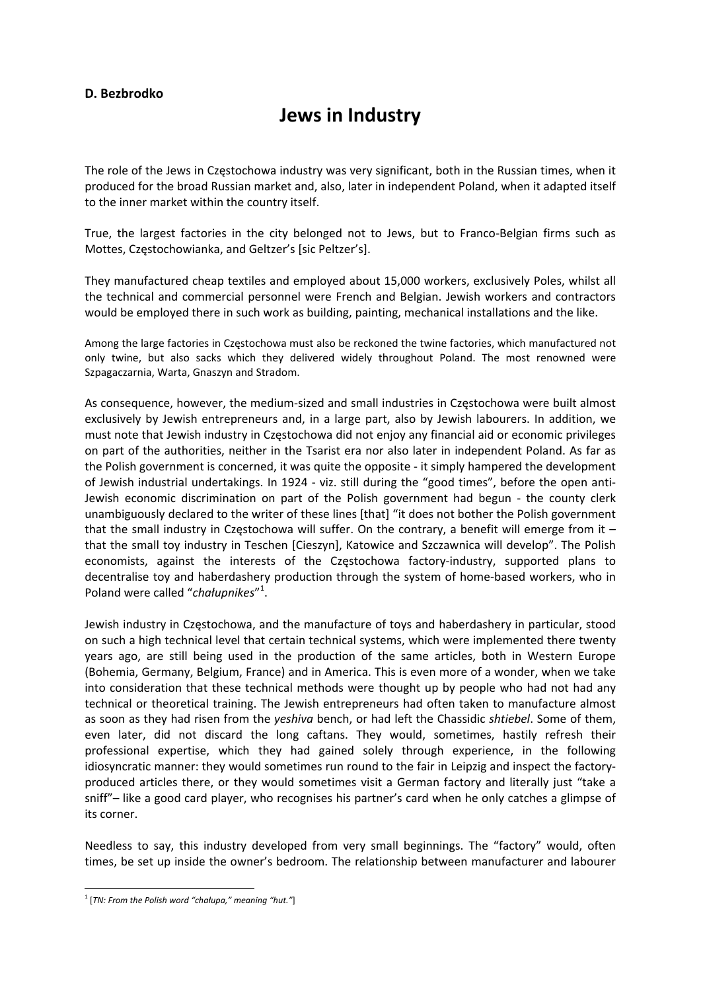## **D. Bezbrodko**

## **Jews in Industry**

The role of the Jews in Częstochowa industry was very significant, both in the Russian times, when it produced for the broad Russian market and, also, later in independent Poland, when it adapted itself to the inner market within the country itself.

True, the largest factories in the city belonged not to Jews, but to Franco‐Belgian firms such as Mottes, Częstochowianka, and Geltzer's [sic Peltzer's].

They manufactured cheap textiles and employed about 15,000 workers, exclusively Poles, whilst all the technical and commercial personnel were French and Belgian. Jewish workers and contractors would be employed there in such work as building, painting, mechanical installations and the like.

Among the large factories in Częstochowa must also be reckoned the twine factories, which manufactured not only twine, but also sacks which they delivered widely throughout Poland. The most renowned were Szpagaczarnia, Warta, Gnaszyn and Stradom.

As consequence, however, the medium‐sized and small industries in Częstochowa were built almost exclusively by Jewish entrepreneurs and, in a large part, also by Jewish labourers. In addition, we must note that Jewish industry in Częstochowa did not enjoy any financial aid or economic privileges on part of the authorities, neither in the Tsarist era nor also later in independent Poland. As far as the Polish government is concerned, it was quite the opposite ‐ it simply hampered the development of Jewish industrial undertakings. In 1924 - viz. still during the "good times", before the open anti-Jewish economic discrimination on part of the Polish government had begun ‐ the county clerk unambiguously declared to the writer of these lines [that] "it does not bother the Polish government that the small industry in Częstochowa will suffer. On the contrary, a benefit will emerge from it – that the small toy industry in Teschen [Cieszyn], Katowice and Szczawnica will develop". The Polish economists, against the interests of the Częstochowa factory-industry, supported plans to decentralise toy and haberdashery production through the system of home‐based workers, who in Poland were called "*chałupnikes*" 1 .

Jewish industry in Częstochowa, and the manufacture of toys and haberdashery in particular, stood on such a high technical level that certain technical systems, which were implemented there twenty years ago, are still being used in the production of the same articles, both in Western Europe (Bohemia, Germany, Belgium, France) and in America. This is even more of a wonder, when we take into consideration that these technical methods were thought up by people who had not had any technical or theoretical training. The Jewish entrepreneurs had often taken to manufacture almost as soon as they had risen from the *yeshiva* bench, or had left the Chassidic *shtiebel*. Some of them, even later, did not discard the long caftans. They would, sometimes, hastily refresh their professional expertise, which they had gained solely through experience, in the following idiosyncratic manner: they would sometimes run round to the fair in Leipzig and inspect the factory‐ produced articles there, or they would sometimes visit a German factory and literally just "take a sniff"– like a good card player, who recognises his partner's card when he only catches a glimpse of its corner.

Needless to say, this industry developed from very small beginnings. The "factory" would, often times, be set up inside the owner's bedroom. The relationship between manufacturer and labourer

<sup>1</sup> [*TN: From the Polish word "chałupa," meaning "hut."*]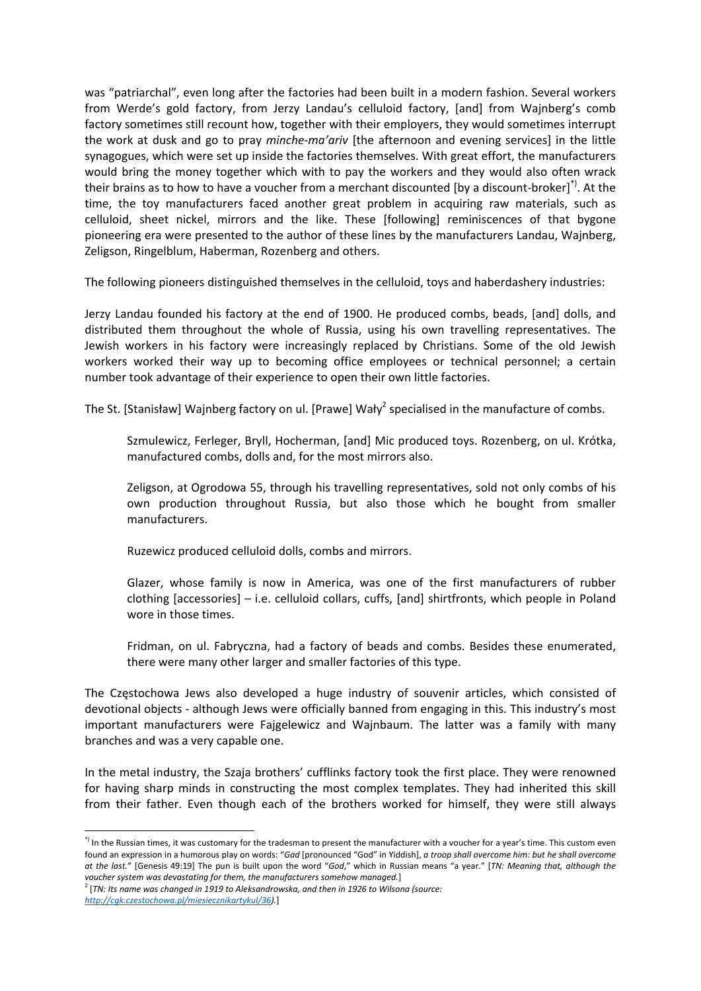was "patriarchal", even long after the factories had been built in a modern fashion. Several workers from Werde's gold factory, from Jerzy Landau's celluloid factory, [and] from Wajnberg's comb factory sometimes still recount how, together with their employers, they would sometimes interrupt the work at dusk and go to pray *minche‐ma'ariv* [the afternoon and evening services] in the little synagogues, which were set up inside the factories themselves. With great effort, the manufacturers would bring the money together which with to pay the workers and they would also often wrack their brains as to how to have a voucher from a merchant discounted [by a discount‐broker]\*). At the time, the toy manufacturers faced another great problem in acquiring raw materials, such as celluloid, sheet nickel, mirrors and the like. These [following] reminiscences of that bygone pioneering era were presented to the author of these lines by the manufacturers Landau, Wajnberg, Zeligson, Ringelblum, Haberman, Rozenberg and others.

The following pioneers distinguished themselves in the celluloid, toys and haberdashery industries:

Jerzy Landau founded his factory at the end of 1900. He produced combs, beads, [and] dolls, and distributed them throughout the whole of Russia, using his own travelling representatives. The Jewish workers in his factory were increasingly replaced by Christians. Some of the old Jewish workers worked their way up to becoming office employees or technical personnel; a certain number took advantage of their experience to open their own little factories.

The St. [Stanisław] Wajnberg factory on ul. [Prawe] Wały<sup>2</sup> specialised in the manufacture of combs.

Szmulewicz, Ferleger, Bryll, Hocherman, [and] Mic produced toys. Rozenberg, on ul. Krótka, manufactured combs, dolls and, for the most mirrors also.

Zeligson, at Ogrodowa 55, through his travelling representatives, sold not only combs of his own production throughout Russia, but also those which he bought from smaller manufacturers.

Ruzewicz produced celluloid dolls, combs and mirrors.

Glazer, whose family is now in America, was one of the first manufacturers of rubber clothing [accessories] – i.e. celluloid collars, cuffs, [and] shirtfronts, which people in Poland wore in those times.

Fridman, on ul. Fabryczna, had a factory of beads and combs. Besides these enumerated, there were many other larger and smaller factories of this type.

The Częstochowa Jews also developed a huge industry of souvenir articles, which consisted of devotional objects ‐ although Jews were officially banned from engaging in this. This industry's most important manufacturers were Fajgelewicz and Wajnbaum. The latter was a family with many branches and was a very capable one.

In the metal industry, the Szaja brothers' cufflinks factory took the first place. They were renowned for having sharp minds in constructing the most complex templates. They had inherited this skill from their father. Even though each of the brothers worked for himself, they were still always

<sup>\*)</sup> In the Russian times, it was customary for the tradesman to present the manufacturer with a voucher for a year's time. This custom even found an expression in a humorous play on words: "*Gad* [pronounced "God" in Yiddish], *a troop shall overcome him: but he shall overcome at the last.*" [Genesis 49:19] The pun is built upon the word "*God*," which in Russian means "a year." [*TN: Meaning that, although the voucher system was devastating for them, the manufacturers somehow managed.*]

<sup>2</sup> [*TN: Its name was changed in 1919 to Aleksandrowska, and then in 1926 to Wilsona (source:*

*http://cgk.czestochowa.pl/miesiecznikartykul/36).*]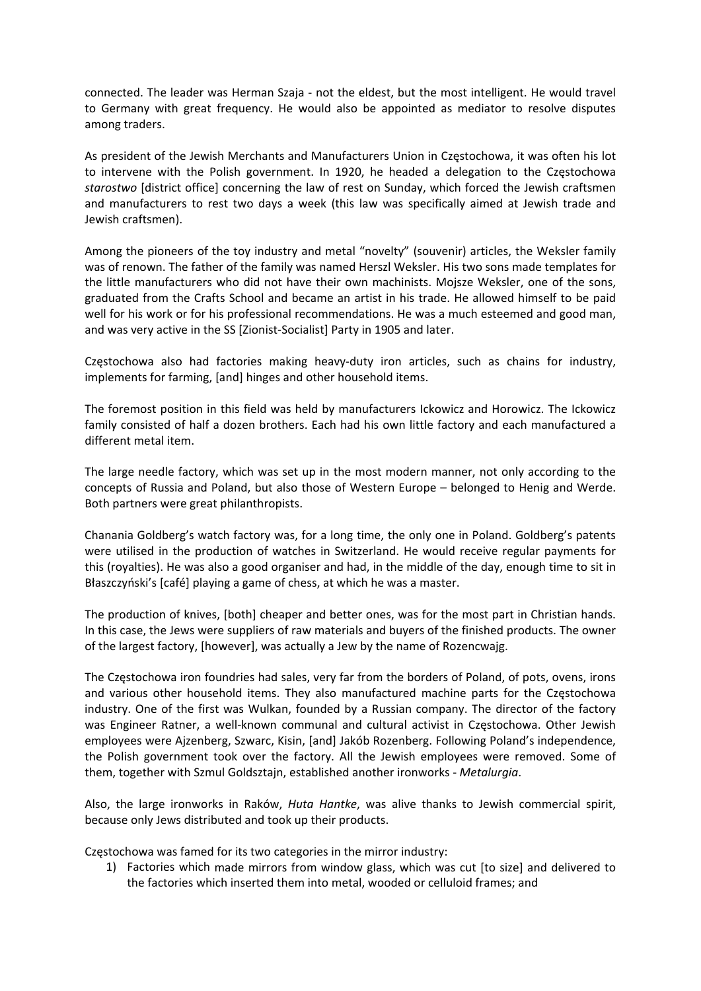connected. The leader was Herman Szaja ‐ not the eldest, but the most intelligent. He would travel to Germany with great frequency. He would also be appointed as mediator to resolve disputes among traders.

As president of the Jewish Merchants and Manufacturers Union in Częstochowa, it was often his lot to intervene with the Polish government. In 1920, he headed a delegation to the Częstochowa *starostwo* [district office] concerning the law of rest on Sunday, which forced the Jewish craftsmen and manufacturers to rest two days a week (this law was specifically aimed at Jewish trade and Jewish craftsmen).

Among the pioneers of the toy industry and metal "novelty" (souvenir) articles, the Weksler family was of renown. The father of the family was named Herszl Weksler. His two sons made templates for the little manufacturers who did not have their own machinists. Mojsze Weksler, one of the sons, graduated from the Crafts School and became an artist in his trade. He allowed himself to be paid well for his work or for his professional recommendations. He was a much esteemed and good man, and was very active in the SS [Zionist‐Socialist] Party in 1905 and later.

Częstochowa also had factories making heavy‐duty iron articles, such as chains for industry, implements for farming, [and] hinges and other household items.

The foremost position in this field was held by manufacturers Ickowicz and Horowicz. The Ickowicz family consisted of half a dozen brothers. Each had his own little factory and each manufactured a different metal item.

The large needle factory, which was set up in the most modern manner, not only according to the concepts of Russia and Poland, but also those of Western Europe – belonged to Henig and Werde. Both partners were great philanthropists.

Chanania Goldberg's watch factory was, for a long time, the only one in Poland. Goldberg's patents were utilised in the production of watches in Switzerland. He would receive regular payments for this (royalties). He was also a good organiser and had, in the middle of the day, enough time to sit in Błaszczyński's [café] playing a game of chess, at which he was a master.

The production of knives, [both] cheaper and better ones, was for the most part in Christian hands. In this case, the Jews were suppliers of raw materials and buyers of the finished products. The owner of the largest factory, [however], was actually a Jew by the name of Rozencwajg.

The Częstochowa iron foundries had sales, very far from the borders of Poland, of pots, ovens, irons and various other household items. They also manufactured machine parts for the Częstochowa industry. One of the first was Wulkan, founded by a Russian company. The director of the factory was Engineer Ratner, a well‐known communal and cultural activist in Częstochowa. Other Jewish employees were Ajzenberg, Szwarc, Kisin, [and] Jakób Rozenberg. Following Poland's independence, the Polish government took over the factory. All the Jewish employees were removed. Some of them, together with Szmul Goldsztajn, established another ironworks ‐ *Metalurgia*.

Also, the large ironworks in Raków, *Huta Hantke*, was alive thanks to Jewish commercial spirit, because only Jews distributed and took up their products.

Częstochowa was famed for its two categories in the mirror industry:

1) Factories which made mirrors from window glass, which was cut [to size] and delivered to the factories which inserted them into metal, wooded or celluloid frames; and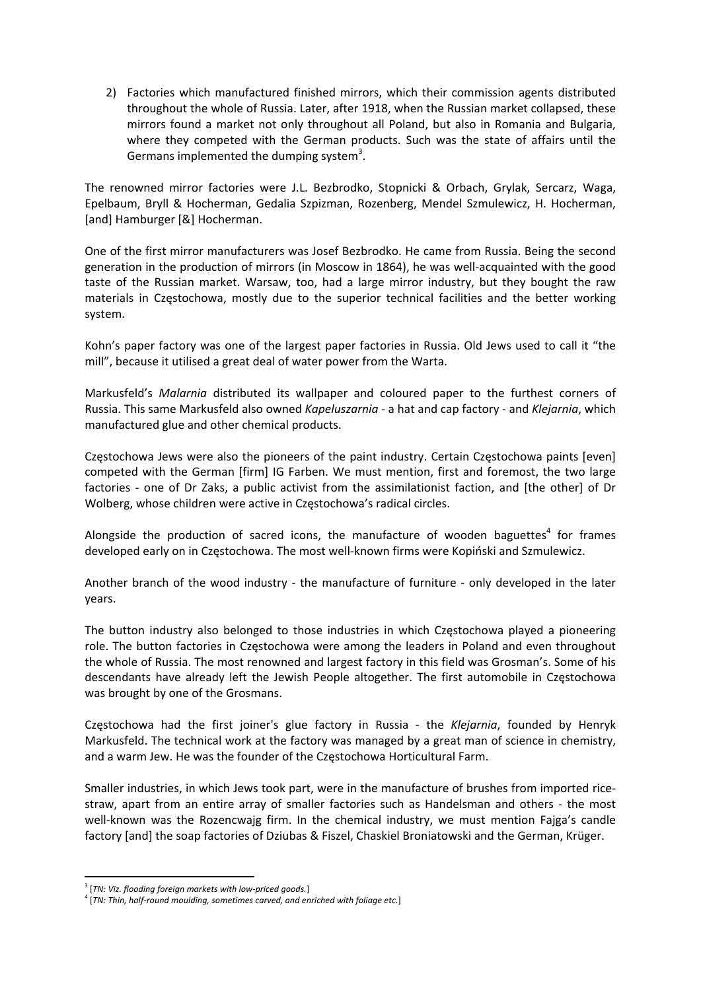2) Factories which manufactured finished mirrors, which their commission agents distributed throughout the whole of Russia. Later, after 1918, when the Russian market collapsed, these mirrors found a market not only throughout all Poland, but also in Romania and Bulgaria, where they competed with the German products. Such was the state of affairs until the Germans implemented the dumping system<sup>3</sup>.

The renowned mirror factories were J.L. Bezbrodko, Stopnicki & Orbach, Grylak, Sercarz, Waga, Epelbaum, Bryll & Hocherman, Gedalia Szpizman, Rozenberg, Mendel Szmulewicz, H. Hocherman, [and] Hamburger [&] Hocherman.

One of the first mirror manufacturers was Josef Bezbrodko. He came from Russia. Being the second generation in the production of mirrors (in Moscow in 1864), he was well‐acquainted with the good taste of the Russian market. Warsaw, too, had a large mirror industry, but they bought the raw materials in Częstochowa, mostly due to the superior technical facilities and the better working system.

Kohn's paper factory was one of the largest paper factories in Russia. Old Jews used to call it "the mill", because it utilised a great deal of water power from the Warta.

Markusfeld's *Malarnia* distributed its wallpaper and coloured paper to the furthest corners of Russia. This same Markusfeld also owned *Kapeluszarnia* ‐ a hat and cap factory ‐ and *Klejarnia*, which manufactured glue and other chemical products.

Częstochowa Jews were also the pioneers of the paint industry. Certain Częstochowa paints [even] competed with the German [firm] IG Farben. We must mention, first and foremost, the two large factories - one of Dr Zaks, a public activist from the assimilationist faction, and [the other] of Dr Wolberg, whose children were active in Częstochowa's radical circles.

Alongside the production of sacred icons, the manufacture of wooden baguettes<sup>4</sup> for frames developed early on in Częstochowa. The most well‐known firms were Kopiński and Szmulewicz.

Another branch of the wood industry - the manufacture of furniture - only developed in the later years.

The button industry also belonged to those industries in which Częstochowa played a pioneering role. The button factories in Częstochowa were among the leaders in Poland and even throughout the whole of Russia. The most renowned and largest factory in this field was Grosman's. Some of his descendants have already left the Jewish People altogether. The first automobile in Częstochowa was brought by one of the Grosmans.

Częstochowa had the first joiner's glue factory in Russia ‐ the *Klejarnia*, founded by Henryk Markusfeld. The technical work at the factory was managed by a great man of science in chemistry, and a warm Jew. He was the founder of the Częstochowa Horticultural Farm.

Smaller industries, in which Jews took part, were in the manufacture of brushes from imported rice‐ straw, apart from an entire array of smaller factories such as Handelsman and others ‐ the most well-known was the Rozencwajg firm. In the chemical industry, we must mention Fajga's candle factory [and] the soap factories of Dziubas & Fiszel, Chaskiel Broniatowski and the German, Krüger.

<sup>3</sup> [*TN: Viz. flooding foreign markets with low‐priced goods.*]

<sup>4</sup> [*TN: Thin, half‐round moulding, sometimes carved, and enriched with foliage etc.*]